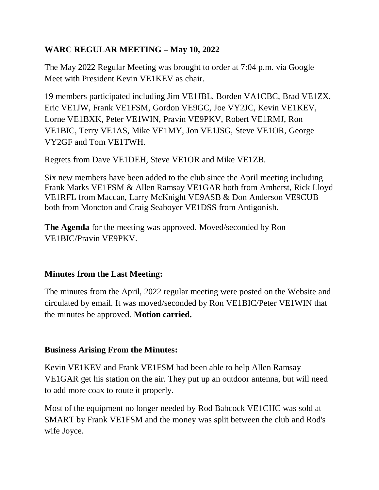# **WARC REGULAR MEETING – May 10, 2022**

The May 2022 Regular Meeting was brought to order at 7:04 p.m. via Google Meet with President Kevin VE1KEV as chair.

19 members participated including Jim VE1JBL, Borden VA1CBC, Brad VE1ZX, Eric VE1JW, Frank VE1FSM, Gordon VE9GC, Joe VY2JC, Kevin VE1KEV, Lorne VE1BXK, Peter VE1WIN, Pravin VE9PKV, Robert VE1RMJ, Ron VE1BIC, Terry VE1AS, Mike VE1MY, Jon VE1JSG, Steve VE1OR, George VY2GF and Tom VE1TWH.

Regrets from Dave VE1DEH, Steve VE1OR and Mike VE1ZB.

Six new members have been added to the club since the April meeting including Frank Marks VE1FSM & Allen Ramsay VE1GAR both from Amherst, Rick Lloyd VE1RFL from Maccan, Larry McKnight VE9ASB & Don Anderson VE9CUB both from Moncton and Craig Seaboyer VE1DSS from Antigonish.

**The Agenda** for the meeting was approved. Moved/seconded by Ron VE1BIC/Pravin VE9PKV.

## **Minutes from the Last Meeting:**

The minutes from the April, 2022 regular meeting were posted on the Website and circulated by email. It was moved/seconded by Ron VE1BIC/Peter VE1WIN that the minutes be approved. **Motion carried.**

## **Business Arising From the Minutes:**

Kevin VE1KEV and Frank VE1FSM had been able to help Allen Ramsay VE1GAR get his station on the air. They put up an outdoor antenna, but will need to add more coax to route it properly.

Most of the equipment no longer needed by Rod Babcock VE1CHC was sold at SMART by Frank VE1FSM and the money was split between the club and Rod's wife Joyce.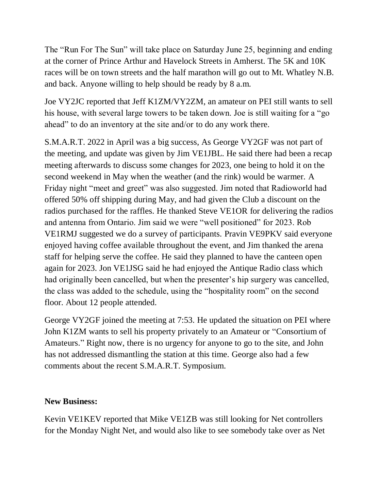The "Run For The Sun" will take place on Saturday June 25, beginning and ending at the corner of Prince Arthur and Havelock Streets in Amherst. The 5K and 10K races will be on town streets and the half marathon will go out to Mt. Whatley N.B. and back. Anyone willing to help should be ready by 8 a.m.

Joe VY2JC reported that Jeff K1ZM/VY2ZM, an amateur on PEI still wants to sell his house, with several large towers to be taken down. Joe is still waiting for a "go ahead" to do an inventory at the site and/or to do any work there.

S.M.A.R.T. 2022 in April was a big success, As George VY2GF was not part of the meeting, and update was given by Jim VE1JBL. He said there had been a recap meeting afterwards to discuss some changes for 2023, one being to hold it on the second weekend in May when the weather (and the rink) would be warmer. A Friday night "meet and greet" was also suggested. Jim noted that Radioworld had offered 50% off shipping during May, and had given the Club a discount on the radios purchased for the raffles. He thanked Steve VE1OR for delivering the radios and antenna from Ontario. Jim said we were "well positioned" for 2023. Rob VE1RMJ suggested we do a survey of participants. Pravin VE9PKV said everyone enjoyed having coffee available throughout the event, and Jim thanked the arena staff for helping serve the coffee. He said they planned to have the canteen open again for 2023. Jon VE1JSG said he had enjoyed the Antique Radio class which had originally been cancelled, but when the presenter's hip surgery was cancelled, the class was added to the schedule, using the "hospitality room" on the second floor. About 12 people attended.

George VY2GF joined the meeting at 7:53. He updated the situation on PEI where John K1ZM wants to sell his property privately to an Amateur or "Consortium of Amateurs." Right now, there is no urgency for anyone to go to the site, and John has not addressed dismantling the station at this time. George also had a few comments about the recent S.M.A.R.T. Symposium.

### **New Business:**

Kevin VE1KEV reported that Mike VE1ZB was still looking for Net controllers for the Monday Night Net, and would also like to see somebody take over as Net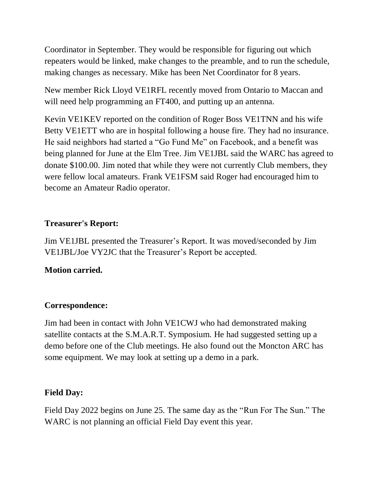Coordinator in September. They would be responsible for figuring out which repeaters would be linked, make changes to the preamble, and to run the schedule, making changes as necessary. Mike has been Net Coordinator for 8 years.

New member Rick Lloyd VE1RFL recently moved from Ontario to Maccan and will need help programming an FT400, and putting up an antenna.

Kevin VE1KEV reported on the condition of Roger Boss VE1TNN and his wife Betty VE1ETT who are in hospital following a house fire. They had no insurance. He said neighbors had started a "Go Fund Me" on Facebook, and a benefit was being planned for June at the Elm Tree. Jim VE1JBL said the WARC has agreed to donate \$100.00. Jim noted that while they were not currently Club members, they were fellow local amateurs. Frank VE1FSM said Roger had encouraged him to become an Amateur Radio operator.

## **Treasurer's Report:**

Jim VE1JBL presented the Treasurer's Report. It was moved/seconded by Jim VE1JBL/Joe VY2JC that the Treasurer's Report be accepted.

## **Motion carried.**

## **Correspondence:**

Jim had been in contact with John VE1CWJ who had demonstrated making satellite contacts at the S.M.A.R.T. Symposium. He had suggested setting up a demo before one of the Club meetings. He also found out the Moncton ARC has some equipment. We may look at setting up a demo in a park.

## **Field Day:**

Field Day 2022 begins on June 25. The same day as the "Run For The Sun." The WARC is not planning an official Field Day event this year.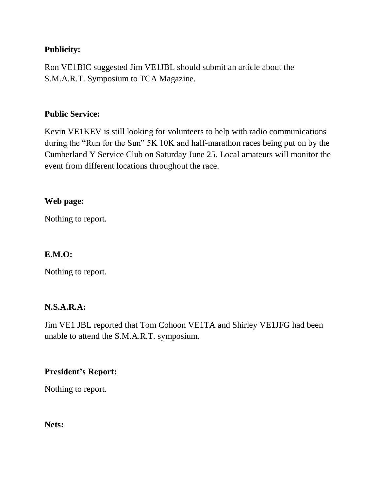### **Publicity:**

Ron VE1BIC suggested Jim VE1JBL should submit an article about the S.M.A.R.T. Symposium to TCA Magazine.

#### **Public Service:**

Kevin VE1KEV is still looking for volunteers to help with radio communications during the "Run for the Sun" 5K 10K and half-marathon races being put on by the Cumberland Y Service Club on Saturday June 25. Local amateurs will monitor the event from different locations throughout the race.

### **Web page:**

Nothing to report.

#### **E.M.O:**

Nothing to report.

### **N.S.A.R.A:**

Jim VE1 JBL reported that Tom Cohoon VE1TA and Shirley VE1JFG had been unable to attend the S.M.A.R.T. symposium.

### **President's Report:**

Nothing to report.

**Nets:**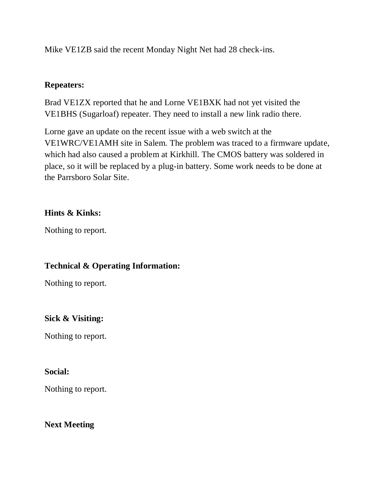Mike VE1ZB said the recent Monday Night Net had 28 check-ins.

### **Repeaters:**

Brad VE1ZX reported that he and Lorne VE1BXK had not yet visited the VE1BHS (Sugarloaf) repeater. They need to install a new link radio there.

Lorne gave an update on the recent issue with a web switch at the VE1WRC/VE1AMH site in Salem. The problem was traced to a firmware update, which had also caused a problem at Kirkhill. The CMOS battery was soldered in place, so it will be replaced by a plug-in battery. Some work needs to be done at the Parrsboro Solar Site.

### **Hints & Kinks:**

Nothing to report.

## **Technical & Operating Information:**

Nothing to report.

### **Sick & Visiting:**

Nothing to report.

### **Social:**

Nothing to report.

## **Next Meeting**